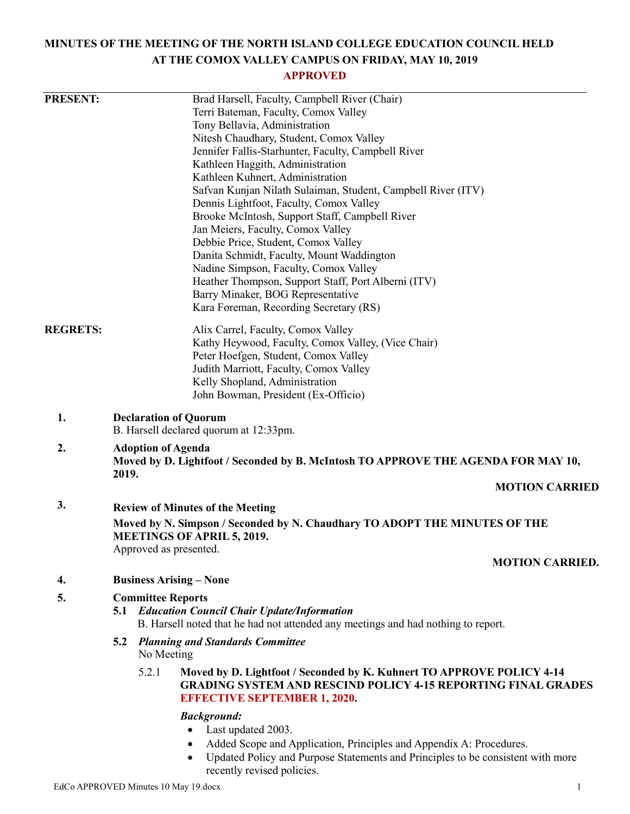# **MINUTES OF THE MEETING OF THE NORTH ISLAND COLLEGE EDUCATION COUNCIL HELD AT THE COMOX VALLEY CAMPUS ON FRIDAY, MAY 10, 2019**

### **APPROVED**

| <b>PRESENT:</b> | Brad Harsell, Faculty, Campbell River (Chair)                                                                                                                                                 |
|-----------------|-----------------------------------------------------------------------------------------------------------------------------------------------------------------------------------------------|
|                 | Terri Bateman, Faculty, Comox Valley                                                                                                                                                          |
|                 | Tony Bellavia, Administration                                                                                                                                                                 |
|                 | Nitesh Chaudhary, Student, Comox Valley                                                                                                                                                       |
|                 | Jennifer Fallis-Starhunter, Faculty, Campbell River                                                                                                                                           |
|                 | Kathleen Haggith, Administration                                                                                                                                                              |
|                 | Kathleen Kuhnert, Administration                                                                                                                                                              |
|                 | Safvan Kunjan Nilath Sulaiman, Student, Campbell River (ITV)                                                                                                                                  |
|                 | Dennis Lightfoot, Faculty, Comox Valley                                                                                                                                                       |
|                 | Brooke McIntosh, Support Staff, Campbell River                                                                                                                                                |
|                 | Jan Meiers, Faculty, Comox Valley                                                                                                                                                             |
|                 | Debbie Price, Student, Comox Valley                                                                                                                                                           |
|                 | Danita Schmidt, Faculty, Mount Waddington                                                                                                                                                     |
|                 | Nadine Simpson, Faculty, Comox Valley                                                                                                                                                         |
|                 | Heather Thompson, Support Staff, Port Alberni (ITV)                                                                                                                                           |
|                 | Barry Minaker, BOG Representative                                                                                                                                                             |
|                 | Kara Foreman, Recording Secretary (RS)                                                                                                                                                        |
| <b>REGRETS:</b> | Alix Carrel, Faculty, Comox Valley                                                                                                                                                            |
|                 | Kathy Heywood, Faculty, Comox Valley, (Vice Chair)                                                                                                                                            |
|                 | Peter Hoefgen, Student, Comox Valley                                                                                                                                                          |
|                 | Judith Marriott, Faculty, Comox Valley                                                                                                                                                        |
|                 | Kelly Shopland, Administration                                                                                                                                                                |
|                 | John Bowman, President (Ex-Officio)                                                                                                                                                           |
| 1.              | <b>Declaration of Quorum</b><br>B. Harsell declared quorum at 12:33pm.                                                                                                                        |
|                 |                                                                                                                                                                                               |
| 2.              | <b>Adoption of Agenda</b><br>Moved by D. Lightfoot / Seconded by B. McIntosh TO APPROVE THE AGENDA FOR MAY 10,<br>2019.                                                                       |
|                 | <b>MOTION CARRIED</b>                                                                                                                                                                         |
| 3.              | <b>Review of Minutes of the Meeting</b>                                                                                                                                                       |
|                 | Moved by N. Simpson / Seconded by N. Chaudhary TO ADOPT THE MINUTES OF THE<br><b>MEETINGS OF APRIL 5, 2019.</b>                                                                               |
|                 | Approved as presented.                                                                                                                                                                        |
|                 | <b>MOTION CARRIED.</b>                                                                                                                                                                        |
| 4.              | <b>Business Arising - None</b>                                                                                                                                                                |
| 5.              | <b>Committee Reports</b>                                                                                                                                                                      |
|                 | <b>5.1 Education Council Chair Update/Information</b><br>B. Harsell noted that he had not attended any meetings and had nothing to report.                                                    |
|                 | <b>5.2 Planning and Standards Committee</b><br>No Meeting                                                                                                                                     |
|                 | 5.2.1<br>Moved by D. Lightfoot / Seconded by K. Kuhnert TO APPROVE POLICY 4-14<br><b>GRADING SYSTEM AND RESCIND POLICY 4-15 REPORTING FINAL GRADES</b><br><b>EFFECTIVE SEPTEMBER 1, 2020.</b> |
|                 | <b>Background:</b><br>Last updated 2003.<br>Added Scope and Application, Principles and Appendix A: Procedures.<br>$\bullet$                                                                  |

 Updated Policy and Purpose Statements and Principles to be consistent with more recently revised policies.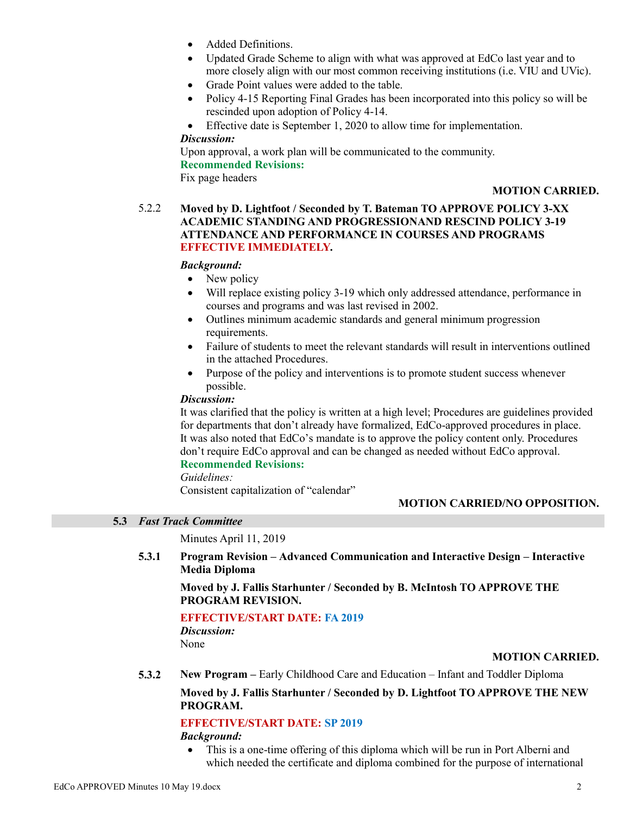- Added Definitions.
- Updated Grade Scheme to align with what was approved at EdCo last year and to more closely align with our most common receiving institutions (i.e. VIU and UVic).
- Grade Point values were added to the table.
- Policy 4-15 Reporting Final Grades has been incorporated into this policy so will be rescinded upon adoption of Policy 4-14.
- Effective date is September 1, 2020 to allow time for implementation.

#### *Discussion:*

Upon approval, a work plan will be communicated to the community. **Recommended Revisions:**

Fix page headers

#### **MOTION CARRIED.**

### 5.2.2 **Moved by D. Lightfoot / Seconded by T. Bateman TO APPROVE POLICY 3-XX ACADEMIC STANDING AND PROGRESSIONAND RESCIND POLICY 3-19 ATTENDANCE AND PERFORMANCE IN COURSES AND PROGRAMS EFFECTIVE IMMEDIATELY.**

#### *Background:*

- New policy
- Will replace existing policy 3-19 which only addressed attendance, performance in courses and programs and was last revised in 2002.
- Outlines minimum academic standards and general minimum progression requirements.
- Failure of students to meet the relevant standards will result in interventions outlined in the attached Procedures.
- Purpose of the policy and interventions is to promote student success whenever possible.

### *Discussion:*

It was clarified that the policy is written at a high level; Procedures are guidelines provided for departments that don't already have formalized, EdCo-approved procedures in place. It was also noted that EdCo's mandate is to approve the policy content only. Procedures don't require EdCo approval and can be changed as needed without EdCo approval.

### **Recommended Revisions:**

*Guidelines:* Consistent capitalization of "calendar"

#### **MOTION CARRIED/NO OPPOSITION.**

### **5.3** *Fast Track Committee*

Minutes April 11, 2019

**5.3.1 Program Revision – Advanced Communication and Interactive Design – Interactive Media Diploma**

### **Moved by J. Fallis Starhunter / Seconded by B. McIntosh TO APPROVE THE PROGRAM REVISION.**

#### **EFFECTIVE/START DATE: FA 2019**

*Discussion:* None

#### **MOTION CARRIED.**

**5.3.2 New Program –** Early Childhood Care and Education – Infant and Toddler Diploma

### **Moved by J. Fallis Starhunter / Seconded by D. Lightfoot TO APPROVE THE NEW PROGRAM.**

### **EFFECTIVE/START DATE: SP 2019**

#### *Background:*

 This is a one-time offering of this diploma which will be run in Port Alberni and which needed the certificate and diploma combined for the purpose of international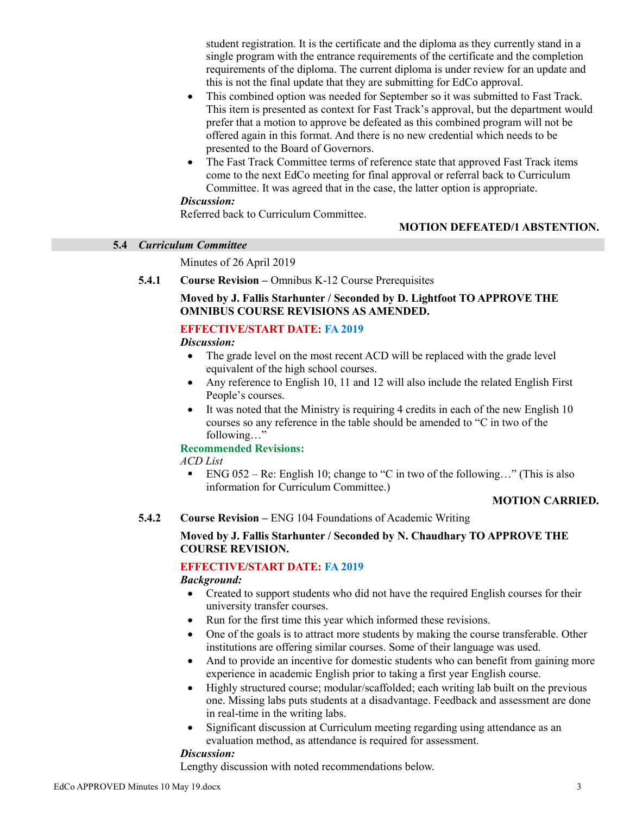student registration. It is the certificate and the diploma as they currently stand in a single program with the entrance requirements of the certificate and the completion requirements of the diploma. The current diploma is under review for an update and this is not the final update that they are submitting for EdCo approval.

- This combined option was needed for September so it was submitted to Fast Track. This item is presented as context for Fast Track's approval, but the department would prefer that a motion to approve be defeated as this combined program will not be offered again in this format. And there is no new credential which needs to be presented to the Board of Governors.
- The Fast Track Committee terms of reference state that approved Fast Track items come to the next EdCo meeting for final approval or referral back to Curriculum Committee. It was agreed that in the case, the latter option is appropriate.

### *Discussion:*

Referred back to Curriculum Committee.

# **MOTION DEFEATED/1 ABSTENTION.**

#### **5.4** *Curriculum Committee*

Minutes of 26 April 2019

### **5.4.1 Course Revision –** Omnibus K-12 Course Prerequisites

### **Moved by J. Fallis Starhunter / Seconded by D. Lightfoot TO APPROVE THE OMNIBUS COURSE REVISIONS AS AMENDED.**

### **EFFECTIVE/START DATE: FA 2019**

#### *Discussion:*

- The grade level on the most recent ACD will be replaced with the grade level equivalent of the high school courses.
- Any reference to English 10, 11 and 12 will also include the related English First People's courses.
- It was noted that the Ministry is requiring 4 credits in each of the new English 10 courses so any reference in the table should be amended to "C in two of the following…"

# **Recommended Revisions:**

# *ACD List*

ENG  $052 - \text{Re}$ : English 10; change to "C in two of the following..." (This is also information for Curriculum Committee.)

#### **MOTION CARRIED.**

#### **5.4.2 Course Revision –** ENG 104 Foundations of Academic Writing

#### **Moved by J. Fallis Starhunter / Seconded by N. Chaudhary TO APPROVE THE COURSE REVISION.**

# **EFFECTIVE/START DATE: FA 2019**

#### *Background:*

- Created to support students who did not have the required English courses for their university transfer courses.
- Run for the first time this year which informed these revisions.
- One of the goals is to attract more students by making the course transferable. Other institutions are offering similar courses. Some of their language was used.
- And to provide an incentive for domestic students who can benefit from gaining more experience in academic English prior to taking a first year English course.
- Highly structured course; modular/scaffolded; each writing lab built on the previous one. Missing labs puts students at a disadvantage. Feedback and assessment are done in real-time in the writing labs.
- Significant discussion at Curriculum meeting regarding using attendance as an evaluation method, as attendance is required for assessment.

#### *Discussion:*

Lengthy discussion with noted recommendations below.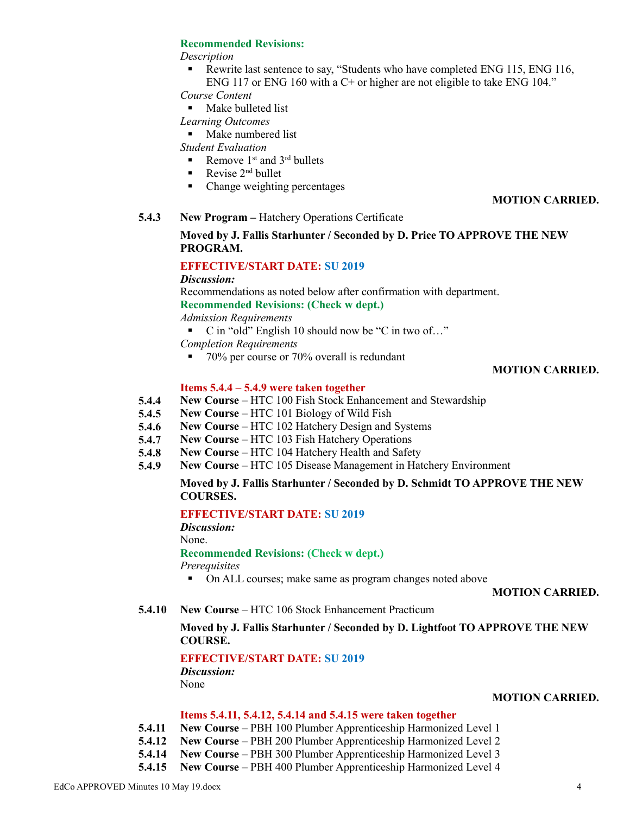#### **Recommended Revisions:**

#### *Description*

**Rewrite last sentence to say, "Students who have completed ENG 115, ENG 116,** ENG 117 or ENG 160 with a C+ or higher are not eligible to take ENG 104."

*Course Content*

**Make bulleted list** 

#### *Learning Outcomes*

**Make numbered list** 

*Student Evaluation*

- Remove  $1<sup>st</sup>$  and  $3<sup>rd</sup>$  bullets
- Revise  $2^{nd}$  bullet
- Change weighting percentages

### **MOTION CARRIED.**

**5.4.3 New Program –** Hatchery Operations Certificate

# **Moved by J. Fallis Starhunter / Seconded by D. Price TO APPROVE THE NEW PROGRAM.**

# **EFFECTIVE/START DATE: SU 2019**

*Discussion:*

Recommendations as noted below after confirmation with department.

**Recommended Revisions: (Check w dept.)**

*Admission Requirements*

■ C in "old" English 10 should now be "C in two of..."

*Completion Requirements*

■ 70% per course or 70% overall is redundant

### **MOTION CARRIED.**

### **Items 5.4.4 – 5.4.9 were taken together**

- **5.4.4 New Course** – HTC 100 Fish Stock Enhancement and Stewardship
- **5.4.5 New Course** – HTC 101 Biology of Wild Fish
- **5.4.6 New Course** – HTC 102 Hatchery Design and Systems
- **5.4.7 New Course** – HTC 103 Fish Hatchery Operations
- **5.4.8 New Course** – HTC 104 Hatchery Health and Safety
- **5.4.9 New Course** – HTC 105 Disease Management in Hatchery Environment

### **Moved by J. Fallis Starhunter / Seconded by D. Schmidt TO APPROVE THE NEW COURSES.**

# **EFFECTIVE/START DATE: SU 2019**

*Discussion:*

None.

#### **Recommended Revisions: (Check w dept.)**

*Prerequisites*

• On ALL courses; make same as program changes noted above

#### **MOTION CARRIED.**

**5.4.10 New Course** – HTC 106 Stock Enhancement Practicum

# **Moved by J. Fallis Starhunter / Seconded by D. Lightfoot TO APPROVE THE NEW COURSE.**

# **EFFECTIVE/START DATE: SU 2019**

*Discussion:* None

#### **MOTION CARRIED.**

#### **Items 5.4.11, 5.4.12, 5.4.14 and 5.4.15 were taken together**

- **5.4.11 New Course** – PBH 100 Plumber Apprenticeship Harmonized Level 1
- **5.4.12 New Course** PBH 200 Plumber Apprenticeship Harmonized Level 2
- **5.4.14 New Course** – PBH 300 Plumber Apprenticeship Harmonized Level 3
- **5.4.15 New Course** PBH 400 Plumber Apprenticeship Harmonized Level 4